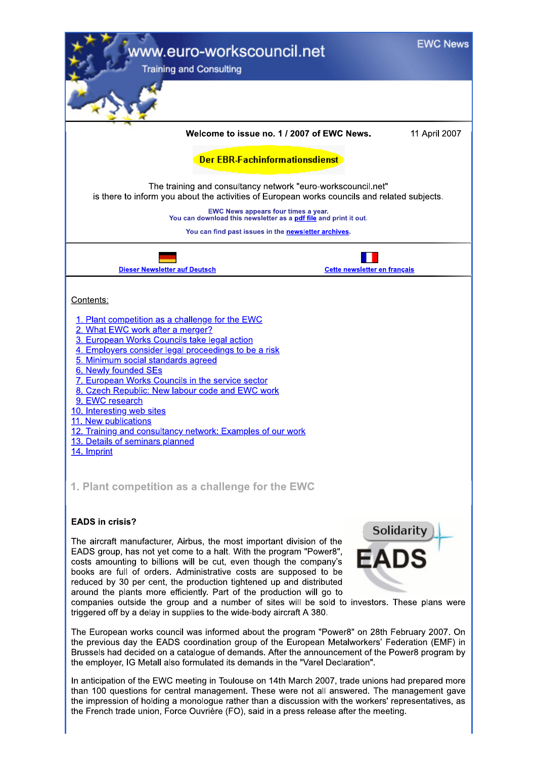

In anticipation of the EWC meeting in Toulouse on 14th March 2007, trade unions had prepared more than 100 questions for central management. These were not all answered. The management gave the impression of holding a monologue rather than a discussion with the workers' representatives, as the French trade union, Force Ouvrière (FO), said in a press release after the meeting.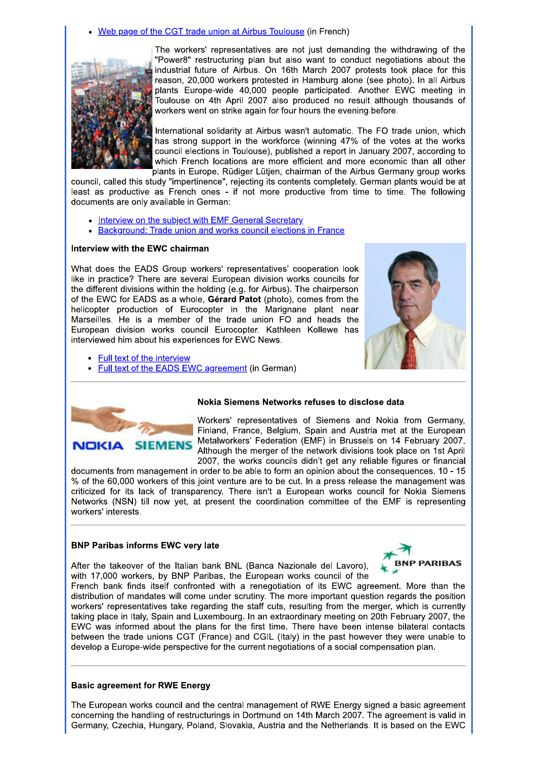Web page of the CGT trade union at Airbus Toulouse (in French)



The workers' representatives are not just demanding the withdrawing of the "Power8" restructuring plan but also want to conduct negotiations about the industrial future of Airbus. On 16th March 2007 protests took place for this reason, 20,000 workers protested in Hamburg alone (see photo). In all Airbus plants Europe-wide 40,000 people participated. Another EWC meeting in .<br>Toulouse on 4th April 2007 also produced no result although thousands of workers went on strike again for four hours the evening before.

International solidarity at Airbus wasn't automatic. The FO trade union, which has strong support in the workforce (winning 47% of the votes at the works council elections in Toulouse), published a report in January 2007, according to which French locations are more efficient and more economic than all other plants in Europe. Rüdiger Lütjen, chairman of the Airbus Germany group works

council, called this study "impertinence", rejecting its contents completely. German plants would be at least as productive as French ones - if not more productive from time to time. The following documents are only available in German:

- Interview on the subject with EMF General Secretary
- Background: Trade union and works council elections in France

#### Interview with the EWC chairman

What does the EADS Group workers' representatives' cooperation look like in practice? There are several European division works councils for the different divisions within the holding (e.g. for Airbus). The chairperson of the EWC for EADS as a whole, Gérard Patot (photo), comes from the helicopter production of Eurocopter in the Marignane plant near Marseilles. He is a member of the trade union FO and heads the European division works council Eurocopter. Kathleen Kollewe has interviewed him about his experiences for EWC News.

- **Full text of the interview**
- Full text of the EADS EWC agreement (in German)





#### Nokia Siemens Networks refuses to disclose data

Workers' representatives of Siemens and Nokia from Germany, Finland, France, Belgium, Spain and Austria met at the European Metalworkers' Federation (EMF) in Brussels on 14 February 2007. Although the merger of the network divisions took place on 1st April 2007, the works councils didn't get any reliable figures or financial

documents from management in order to be able to form an opinion about the consequences. 10 - 15 % of the 60,000 workers of this joint venture are to be cut. In a press release the management was criticized for its lack of transparency. There isn't a European works council for Nokia Siemens Networks (NSN) till now yet, at present the coordination committee of the EMF is representing workers' interests.

#### **BNP Paribas informs EWC very late**

After the takeover of the Italian bank BNL (Banca Nazionale del Lavoro),



with 17,000 workers, by BNP Paribas, the European works council of the French bank finds itself confronted with a renegotiation of its EWC agreement. More than the distribution of mandates will come under scrutiny. The more important question regards the position

workers' representatives take regarding the staff cuts, resulting from the merger, which is currently taking place in Italy, Spain and Luxembourg. In an extraordinary meeting on 20th February 2007, the EWC was informed about the plans for the first time. There have been intense bilateral contacts between the trade unions CGT (France) and CGIL (Italy) in the past however they were unable to develop a Europe-wide perspective for the current negotiations of a social compensation plan.

#### **Basic agreement for RWE Energy**

The European works council and the central management of RWE Energy signed a basic agreement concerning the handling of restructurings in Dortmund on 14th March 2007. The agreement is valid in Germany, Czechia, Hungary, Poland, Slovakia, Austria and the Netherlands. It is based on the EWC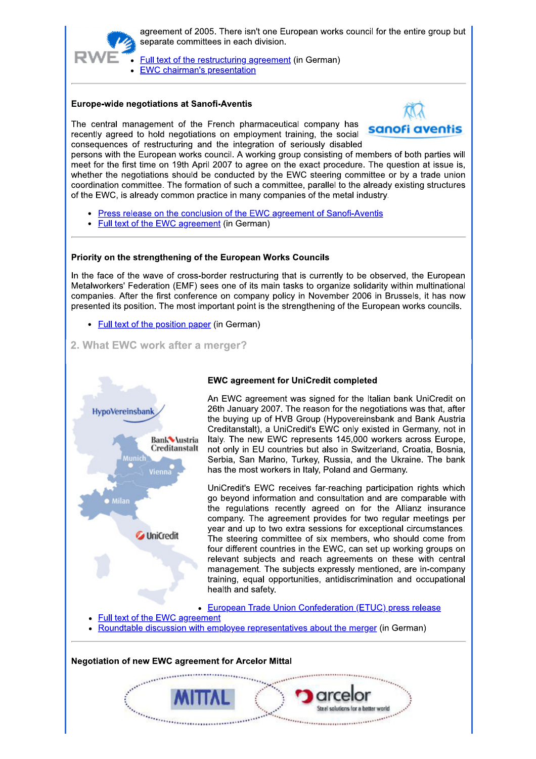

agreement of 2005. There isn't one European works council for the entire group but separate committees in each division.

Full text of the restructuring agreement (in German)

# **EWC chairman's presentation**

## **Europe-wide negotiations at Sanofi-Aventis**

The central management of the French pharmaceutical company has recently agreed to hold negotiations on employment training, the social consequences of restructuring and the integration of seriously disabled



persons with the European works council. A working group consisting of members of both parties will meet for the first time on 19th April 2007 to agree on the exact procedure. The question at issue is, whether the negotiations should be conducted by the EWC steering committee or by a trade union coordination committee. The formation of such a committee, parallel to the already existing structures of the EWC, is already common practice in many companies of the metal industry.

- Press release on the conclusion of the EWC agreement of Sanofi-Aventis
- Full text of the EWC agreement (in German)

## Priority on the strengthening of the European Works Councils

In the face of the wave of cross-border restructuring that is currently to be observed, the European Metalworkers' Federation (EMF) sees one of its main tasks to organize solidarity within multinational companies. After the first conference on company policy in November 2006 in Brussels, it has now presented its position. The most important point is the strengthening of the European works councils.

- Full text of the position paper (in German)
- 2. What EWC work after a merger?



## **EWC agreement for UniCredit completed**

An EWC agreement was signed for the Italian bank UniCredit on 26th January 2007. The reason for the negotiations was that, after the buying up of HVB Group (Hypovereinsbank and Bank Austria Creditanstalt), a UniCredit's EWC only existed in Germany, not in Italy. The new EWC represents 145,000 workers across Europe, not only in EU countries but also in Switzerland, Croatia, Bosnia, Serbia, San Marino, Turkey, Russia, and the Ukraine. The bank has the most workers in Italy, Poland and Germany.

UniCredit's EWC receives far-reaching participation rights which go beyond information and consultation and are comparable with the regulations recently agreed on for the Allianz insurance company. The agreement provides for two regular meetings per year and up to two extra sessions for exceptional circumstances. The steering committee of six members, who should come from four different countries in the EWC, can set up working groups on relevant subjects and reach agreements on these with central management. The subjects expressly mentioned, are in-company training, equal opportunities, antidiscrimination and occupational health and safety.

- **European Trade Union Confederation (ETUC) press release**
- **Full text of the EWC agreement**
- Roundtable discussion with employee representatives about the merger (in German)

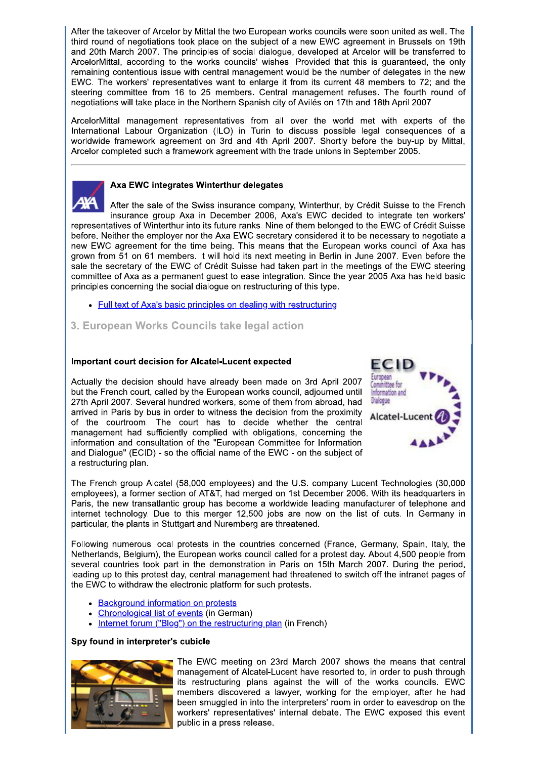After the takeover of Arcelor by Mittal the two European works councils were soon united as well. The third round of negotiations took place on the subject of a new EWC agreement in Brussels on 19th and 20th March 2007. The principles of social dialogue, developed at Arcelor will be transferred to ArcelorMittal, according to the works councils' wishes. Provided that this is guaranteed, the only remaining contentious issue with central management would be the number of delegates in the new EWC. The workers' representatives want to enlarge it from its current 48 members to 72; and the steering committee from 16 to 25 members. Central management refuses. The fourth round of negotiations will take place in the Northern Spanish city of Avilés on 17th and 18th April 2007.

ArcelorMittal management representatives from all over the world met with experts of the International Labour Organization (ILO) in Turin to discuss possible legal consequences of a worldwide framework agreement on 3rd and 4th April 2007. Shortly before the buy-up by Mittal, Arcelor completed such a framework agreement with the trade unions in September 2005.



## Axa EWC integrates Winterthur delegates

After the sale of the Swiss insurance company, Winterthur, by Crédit Suisse to the French insurance group Axa in December 2006, Axa's EWC decided to integrate ten workers' representatives of Winterthur into its future ranks. Nine of them belonged to the EWC of Crédit Suisse before. Neither the employer nor the Axa EWC secretary considered it to be necessary to negotiate a new EWC agreement for the time being. This means that the European works council of Axa has grown from 51 on 61 members. It will hold its next meeting in Berlin in June 2007. Even before the sale the secretary of the EWC of Crédit Suisse had taken part in the meetings of the EWC steering committee of Axa as a permanent quest to ease integration. Since the year 2005 Axa has held basic principles concerning the social dialogue on restructuring of this type.

- Full text of Axa's basic principles on dealing with restructuring
- 3. European Works Councils take legal action

## Important court decision for Alcatel-Lucent expected

Actually the decision should have already been made on 3rd April 2007 but the French court, called by the European works council, adjourned until 27th April 2007. Several hundred workers, some of them from abroad, had arrived in Paris by bus in order to witness the decision from the proximity of the courtroom. The court has to decide whether the central management had sufficiently complied with obligations, concerning the information and consultation of the "European Committee for Information and Dialogue" (ECID) - so the official name of the EWC - on the subject of a restructuring plan.



The French group Alcatel (58,000 employees) and the U.S. company Lucent Technologies (30,000 employees), a former section of AT&T, had merged on 1st December 2006. With its headquarters in Paris, the new transatlantic group has become a worldwide leading manufacturer of telephone and internet technology. Due to this merger 12,500 jobs are now on the list of cuts. In Germany in particular, the plants in Stuttgart and Nuremberg are threatened.

Following numerous local protests in the countries concerned (France, Germany, Spain, Italy, the Netherlands, Belgium), the European works council called for a protest day. About 4,500 people from several countries took part in the demonstration in Paris on 15th March 2007. During the period, leading up to this protest day, central management had threatened to switch off the intranet pages of the EWC to withdraw the electronic platform for such protests.

- Background information on protests
- Chronological list of events (in German)
- Internet forum ("Blog") on the restructuring plan (in French)

#### Spy found in interpreter's cubicle



The EWC meeting on 23rd March 2007 shows the means that central management of Alcatel-Lucent have resorted to, in order to push through its restructuring plans against the will of the works councils. EWC members discovered a lawyer, working for the employer, after he had been smuggled in into the interpreters' room in order to eavesdrop on the workers' representatives' internal debate. The EWC exposed this event public in a press release.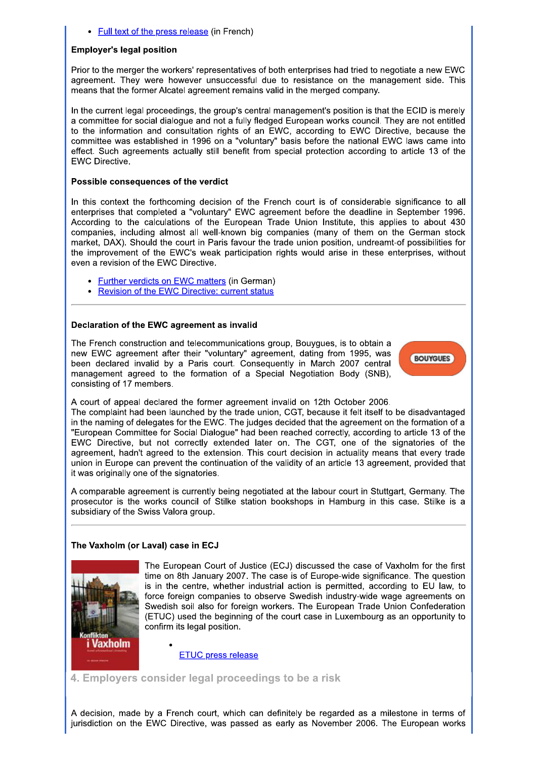• Full text of the press release (in French)

#### **Employer's legal position**

Prior to the merger the workers' representatives of both enterprises had tried to negotiate a new EWC agreement. They were however unsuccessful due to resistance on the management side. This means that the former Alcatel agreement remains valid in the merged company.

In the current legal proceedings, the group's central management's position is that the ECID is merely a committee for social dialogue and not a fully fledged European works council. They are not entitled to the information and consultation rights of an EWC, according to EWC Directive, because the committee was established in 1996 on a "voluntary" basis before the national EWC laws came into effect. Such agreements actually still benefit from special protection according to article 13 of the **EWC Directive.** 

#### Possible consequences of the verdict

In this context the forthcoming decision of the French court is of considerable significance to all enterprises that completed a "voluntary" EWC agreement before the deadline in September 1996. According to the calculations of the European Trade Union Institute, this applies to about 430 companies, including almost all well-known big companies (many of them on the German stock market, DAX). Should the court in Paris favour the trade union position, undreamt-of possibilities for the improvement of the EWC's weak participation rights would arise in these enterprises, without even a revision of the EWC Directive.

- Further verdicts on EWC matters (in German)
- Revision of the EWC Directive: current status

## Declaration of the EWC agreement as invalid

The French construction and telecommunications group, Bouygues, is to obtain a new EWC agreement after their "voluntary" agreement, dating from 1995, was been declared invalid by a Paris court. Consequently in March 2007 central management agreed to the formation of a Special Negotiation Body (SNB), consisting of 17 members.



A court of appeal declared the former agreement invalid on 12th October 2006.

The complaint had been launched by the trade union. CGT, because it felt itself to be disadvantaged in the naming of delegates for the EWC. The judges decided that the agreement on the formation of a "European Committee for Social Dialogue" had been reached correctly, according to article 13 of the EWC Directive, but not correctly extended later on. The CGT, one of the signatories of the agreement, hadn't agreed to the extension. This court decision in actuality means that every trade union in Europe can prevent the continuation of the validity of an article 13 agreement, provided that it was originally one of the signatories.

A comparable agreement is currently being negotiated at the labour court in Stuttgart, Germany. The prosecutor is the works council of Stilke station bookshops in Hamburg in this case. Stilke is a subsidiary of the Swiss Valora group.

## The Vaxholm (or Laval) case in ECJ



The European Court of Justice (ECJ) discussed the case of Vaxholm for the first time on 8th January 2007. The case is of Europe-wide significance. The question is in the centre, whether industrial action is permitted, according to EU law, to force foreign companies to observe Swedish industry-wide wage agreements on Swedish soil also for foreign workers. The European Trade Union Confederation (ETUC) used the beginning of the court case in Luxembourg as an opportunity to confirm its legal position.

**ETUC press release** 

4. Emplovers consider legal proceedings to be a risk

A decision, made by a French court, which can definitely be regarded as a milestone in terms of jurisdiction on the EWC Directive, was passed as early as November 2006. The European works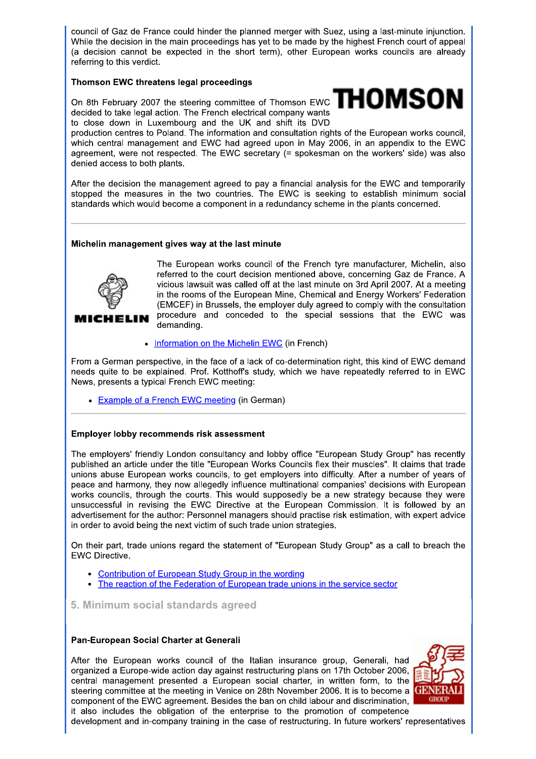council of Gaz de France could hinder the planned merger with Suez, using a last-minute injunction. While the decision in the main proceedings has yet to be made by the highest French court of appeal (a decision cannot be expected in the short term), other European works councils are already referring to this verdict.

## Thomson EWC threatens legal proceedings

On 8th February 2007 the steering committee of Thomson EWC  $T H O M S O N$ decided to take legal action. The French electrical company wants to close down in Luxembourg and the UK and shift its DVD



production centres to Poland. The information and consultation rights of the European works council, which central management and EWC had agreed upon in May 2006, in an appendix to the EWC agreement, were not respected. The EWC secretary (= spokesman on the workers' side) was also denied access to both plants.

After the decision the management agreed to pay a financial analysis for the EWC and temporarily stopped the measures in the two countries. The EWC is seeking to establish minimum social standards which would become a component in a redundancy scheme in the plants concerned.

## Michelin management gives way at the last minute



**MICHELIN** 

The European works council of the French tyre manufacturer, Michelin, also referred to the court decision mentioned above, concerning Gaz de France. A vicious lawsuit was called off at the last minute on 3rd April 2007. At a meeting in the rooms of the European Mine, Chemical and Energy Workers' Federation (EMCEF) in Brussels, the employer duly agreed to comply with the consultation procedure and conceded to the special sessions that the EWC was demanding.

• Information on the Michelin EWC (in French)

From a German perspective, in the face of a lack of co-determination right, this kind of EWC demand needs quite to be explained. Prof. Kotthoff's study, which we have repeatedly referred to in EWC News, presents a typical French EWC meeting:

• Example of a French EWC meeting (in German)

#### Employer lobby recommends risk assessment

The employers' friendly London consultancy and lobby office "European Study Group" has recently published an article under the title "European Works Councils flex their muscles". It claims that trade unions abuse European works councils, to get employers into difficulty. After a number of years of peace and harmony, they now allegedly influence multinational companies' decisions with European works councils, through the courts. This would supposedly be a new strategy because they were unsuccessful in revising the EWC Directive at the European Commission. It is followed by an advertisement for the author: Personnel managers should practise risk estimation, with expert advice in order to avoid being the next victim of such trade union strategies.

On their part, trade unions regard the statement of "European Study Group" as a call to breach the **EWC Directive.** 

- Contribution of European Study Group in the wording
- The reaction of the Federation of European trade unions in the service sector

## 5. Minimum social standards agreed

#### Pan-European Social Charter at Generali

After the European works council of the Italian insurance group. Generali, had organized a Europe-wide action day against restructuring plans on 17th October 2006, central management presented a European social charter, in written form, to the steering committee at the meeting in Venice on 28th November 2006. It is to become a component of the EWC agreement. Besides the ban on child labour and discrimination. it also includes the obligation of the enterprise to the promotion of competence



development and in-company training in the case of restructuring. In future workers' representatives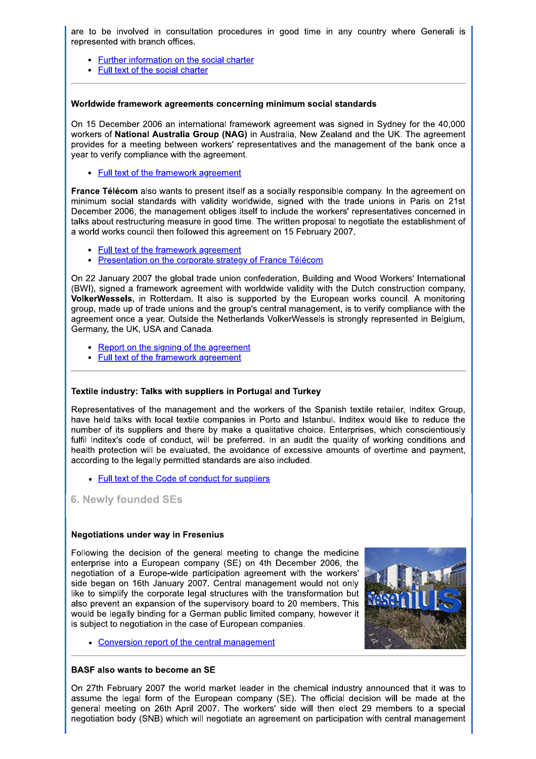are to be involved in consultation procedures in good time in any country where Generali is represented with branch offices.

- Further information on the social charter
- Full text of the social charter

#### Worldwide framework agreements concerning minimum social standards

On 15 December 2006 an international framework agreement was signed in Sydney for the 40,000 workers of National Australia Group (NAG) in Australia, New Zealand and the UK. The agreement provides for a meeting between workers' representatives and the management of the bank once a year to verify compliance with the agreement.

• Full text of the framework agreement

France Télécom also wants to present itself as a socially responsible company. In the agreement on minimum social standards with validity worldwide, signed with the trade unions in Paris on 21st December 2006, the management obliges itself to include the workers' representatives concerned in talks about restructuring measure in good time. The written proposal to negotiate the establishment of a world works council then followed this agreement on 15 February 2007.

- Full text of the framework agreement
- Presentation on the corporate strategy of France Télécom

On 22 January 2007 the global trade union confederation, Building and Wood Workers' International (BWI), signed a framework agreement with worldwide validity with the Dutch construction company, VolkerWessels, in Rotterdam. It also is supported by the European works council. A monitoring group, made up of trade unions and the group's central management, is to verify compliance with the agreement once a year. Outside the Netherlands VolkerWessels is strongly represented in Belgium. Germany, the UK, USA and Canada.

- Report on the signing of the agreement
- Full text of the framework agreement

#### Textile industry: Talks with suppliers in Portugal and Turkey

Representatives of the management and the workers of the Spanish textile retailer, Inditex Group, have held talks with local textile companies in Porto and Istanbul. Inditex would like to reduce the number of its suppliers and there by make a qualitative choice. Enterprises, which conscientiously fulfil Inditex's code of conduct, will be preferred. In an audit the quality of working conditions and health protection will be evaluated, the avoidance of excessive amounts of overtime and payment. according to the legally permitted standards are also included.

- Full text of the Code of conduct for suppliers
- **6. Newly founded SEs**

#### **Negotiations under way in Fresenius**

Following the decision of the general meeting to change the medicine enterprise into a European company (SE) on 4th December 2006, the negotiation of a Europe-wide participation agreement with the workers' side began on 16th January 2007. Central management would not only like to simplify the corporate legal structures with the transformation but also prevent an expansion of the supervisory board to 20 members. This would be legally binding for a German public limited company, however it is subject to negotiation in the case of European companies.



• Conversion report of the central management

#### **BASF also wants to become an SE**

On 27th February 2007 the world market leader in the chemical industry announced that it was to assume the legal form of the European company (SE). The official decision will be made at the general meeting on 26th April 2007. The workers' side will then elect 29 members to a special negotiation body (SNB) which will negotiate an agreement on participation with central management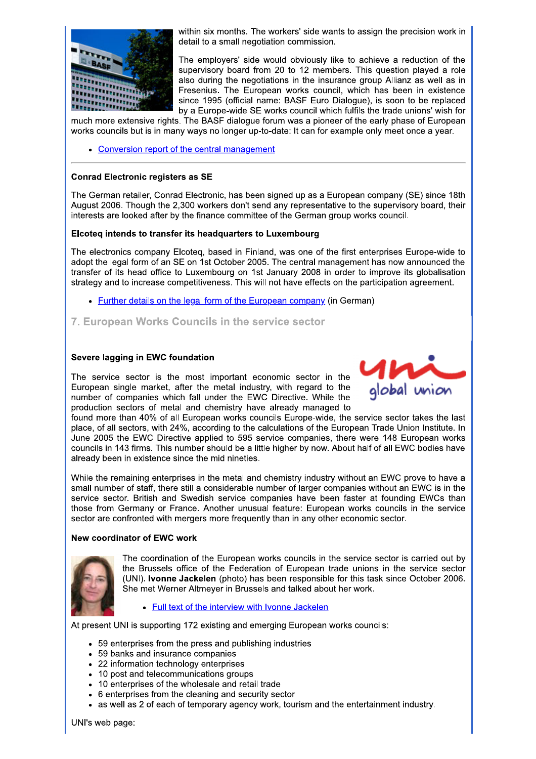

within six months. The workers' side wants to assign the precision work in detail to a small negotiation commission.

The employers' side would obviously like to achieve a reduction of the supervisory board from 20 to 12 members. This question played a role also during the negotiations in the insurance group Allianz as well as in Fresenius. The European works council, which has been in existence since 1995 (official name: BASF Euro Dialogue), is soon to be replaced by a Europe-wide SE works council which fulfils the trade unions' wish for

much more extensive rights. The BASF dialogue forum was a pioneer of the early phase of European works councils but is in many ways no longer up-to-date: It can for example only meet once a year.

• Conversion report of the central management

#### **Conrad Electronic registers as SE**

The German retailer, Conrad Electronic, has been signed up as a European company (SE) since 18th August 2006. Though the 2.300 workers don't send any representative to the supervisory board, their interests are looked after by the finance committee of the German group works council.

#### Elcoteg intends to transfer its headquarters to Luxembourg

The electronics company Elcoteq, based in Finland, was one of the first enterprises Europe-wide to adopt the legal form of an SE on 1st October 2005. The central management has now announced the transfer of its head office to Luxembourg on 1st January 2008 in order to improve its globalisation strategy and to increase competitiveness. This will not have effects on the participation agreement.

• Further details on the legal form of the European company (in German)

## 7. European Works Councils in the service sector

#### Severe lagging in EWC foundation

The service sector is the most important economic sector in the European single market, after the metal industry, with regard to the number of companies which fall under the EWC Directive. While the production sectors of metal and chemistry have already managed to



found more than 40% of all European works councils Europe-wide, the service sector takes the last place, of all sectors, with 24%, according to the calculations of the European Trade Union Institute. In June 2005 the EWC Directive applied to 595 service companies, there were 148 European works councils in 143 firms. This number should be a little higher by now. About half of all EWC bodies have already been in existence since the mid nineties.

While the remaining enterprises in the metal and chemistry industry without an EWC prove to have a small number of staff, there still a considerable number of larger companies without an EWC is in the service sector. British and Swedish service companies have been faster at founding EWCs than those from Germany or France. Another unusual feature: European works councils in the service sector are confronted with mergers more frequently than in any other economic sector.

#### New coordinator of EWC work



The coordination of the European works councils in the service sector is carried out by the Brussels office of the Federation of European trade unions in the service sector (UNI). Ivonne Jackelen (photo) has been responsible for this task since October 2006. She met Werner Altmeyer in Brussels and talked about her work.

Full text of the interview with Ivonne Jackelen

At present UNI is supporting 172 existing and emerging European works councils:

- 59 enterprises from the press and publishing industries
- 59 banks and insurance companies
- 22 information technology enterprises
- 10 post and telecommunications groups
- 10 enterprises of the wholesale and retail trade
- 6 enterprises from the cleaning and security sector
- as well as 2 of each of temporary agency work, tourism and the entertainment industry.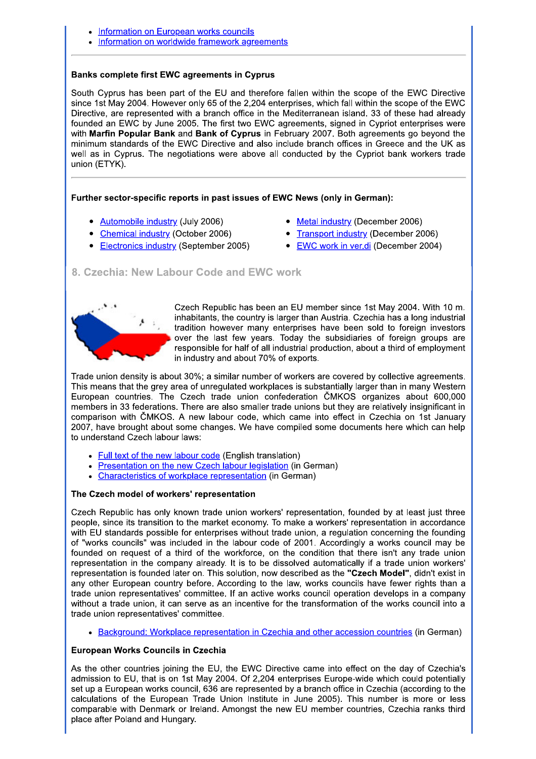- Information on European works councils
- Information on worldwide framework agreements

#### **Banks complete first EWC agreements in Cyprus**

South Cyprus has been part of the EU and therefore fallen within the scope of the EWC Directive since 1st May 2004. However only 65 of the 2,204 enterprises, which fall within the scope of the EWC Directive, are represented with a branch office in the Mediterranean island. 33 of these had already founded an EWC by June 2005. The first two EWC agreements, signed in Cypriot enterprises were with Marfin Popular Bank and Bank of Cyprus in February 2007. Both agreements go beyond the minimum standards of the EWC Directive and also include branch offices in Greece and the UK as well as in Cyprus. The negotiations were above all conducted by the Cypriot bank workers trade union (ETYK).

#### Further sector-specific reports in past issues of EWC News (only in German):

- Automobile industry (July 2006)
- Chemical industry (October 2006)
- Electronics industry (September 2005)
- Metal industry (December 2006)
- Transport industry (December 2006)
- EWC work in ver.di (December 2004)

## 8. Czechia: New Labour Code and EWC work



Czech Republic has been an EU member since 1st May 2004. With 10 m. inhabitants, the country is larger than Austria. Czechia has a long industrial tradition however many enterprises have been sold to foreign investors over the last few years. Today the subsidiaries of foreign groups are responsible for half of all industrial production, about a third of employment in industry and about 70% of exports.

Trade union density is about 30%; a similar number of workers are covered by collective agreements. This means that the grey area of unregulated workplaces is substantially larger than in many Western European countries. The Czech trade union confederation ČMKOS organizes about 600,000 members in 33 federations. There are also smaller trade unions but they are relatively insignificant in comparison with CMKOS. A new labour code, which came into effect in Czechia on 1st January 2007, have brought about some changes. We have compiled some documents here which can help to understand Czech labour laws:

- Full text of the new labour code (English translation)
- Presentation on the new Czech labour legislation (in German)
- Characteristics of workplace representation (in German)

#### The Czech model of workers' representation

Czech Republic has only known trade union workers' representation, founded by at least just three people, since its transition to the market economy. To make a workers' representation in accordance with EU standards possible for enterprises without trade union, a regulation concerning the founding of "works councils" was included in the labour code of 2001. Accordingly a works council may be founded on request of a third of the workforce, on the condition that there isn't any trade union representation in the company already. It is to be dissolved automatically if a trade union workers' representation is founded later on. This solution, now described as the "Czech Model", didn't exist in any other European country before. According to the law, works councils have fewer rights than a trade union representatives' committee. If an active works council operation develops in a company without a trade union, it can serve as an incentive for the transformation of the works council into a trade union representatives' committee.

• Background: Workplace representation in Czechia and other accession countries (in German)

#### **European Works Councils in Czechia**

As the other countries joining the EU, the EWC Directive came into effect on the day of Czechia's admission to EU, that is on 1st May 2004. Of 2,204 enterprises Europe-wide which could potentially set up a European works council, 636 are represented by a branch office in Czechia (according to the calculations of the European Trade Union Institute in June 2005). This number is more or less comparable with Denmark or Ireland. Amongst the new EU member countries, Czechia ranks third place after Poland and Hungary.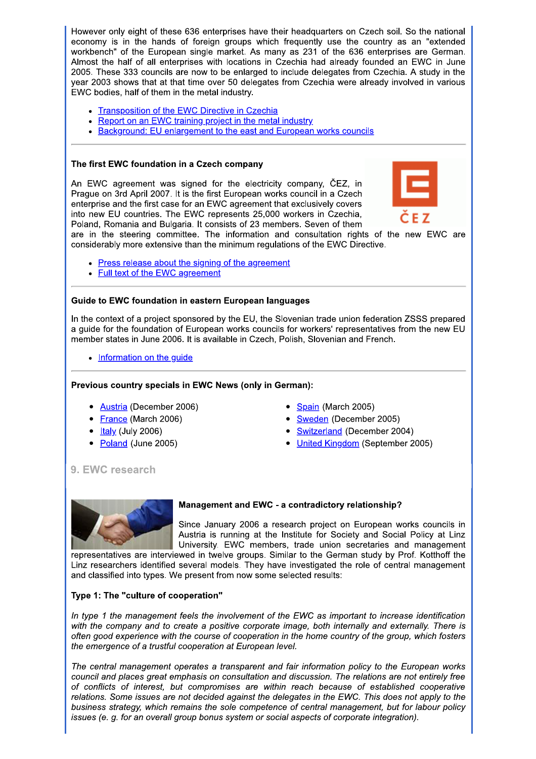However only eight of these 636 enterprises have their headquarters on Czech soil. So the national economy is in the hands of foreign groups which frequently use the country as an "extended workbench" of the European single market. As many as 231 of the 636 enterprises are German. Almost the half of all enterprises with locations in Czechia had already founded an EWC in June 2005. These 333 councils are now to be enlarged to include delegates from Czechia. A study in the year 2003 shows that at that time over 50 delegates from Czechia were already involved in various EWC bodies, half of them in the metal industry.

- Transposition of the EWC Directive in Czechia
- Report on an EWC training project in the metal industry
- Background: EU enlargement to the east and European works councils

#### The first EWC foundation in a Czech company

An EWC agreement was signed for the electricity company, CEZ, in Praque on 3rd April 2007. It is the first European works council in a Czech enterprise and the first case for an EWC agreement that exclusively covers into new EU countries. The EWC represents 25,000 workers in Czechia, Poland, Romania and Bulgaria. It consists of 23 members. Seven of them



are in the steering committee. The information and consultation rights of the new EWC are considerably more extensive than the minimum regulations of the EWC Directive.

- Press release about the signing of the agreement
- Full text of the EWC agreement

## Guide to EWC foundation in eastern European languages

In the context of a project sponsored by the EU, the Slovenian trade union federation ZSSS prepared a quide for the foundation of European works councils for workers' representatives from the new EU member states in June 2006. It is available in Czech, Polish, Slovenian and French.

• Information on the quide

## Previous country specials in EWC News (only in German):

- Austria (December 2006)
- France (March 2006)
- $\bullet$  ltaly (July 2006)
- Poland (June 2005)
- Spain (March 2005)
- Sweden (December 2005)
- Switzerland (December 2004)
- United Kingdom (September 2005)

# 9. EWC research



## Management and EWC - a contradictory relationship?

Since January 2006 a research project on European works councils in Austria is running at the Institute for Society and Social Policy at Linz University. EWC members, trade union secretaries and management

representatives are interviewed in twelve groups. Similar to the German study by Prof. Kotthoff the Linz researchers identified several models. They have investigated the role of central management and classified into types. We present from now some selected results:

## Type 1: The "culture of cooperation"

In type 1 the management feels the involvement of the EWC as important to increase identification with the company and to create a positive corporate image, both internally and externally. There is often good experience with the course of cooperation in the home country of the group, which fosters the emergence of a trustful cooperation at European level.

The central management operates a transparent and fair information policy to the European works council and places great emphasis on consultation and discussion. The relations are not entirely free of conflicts of interest, but compromises are within reach because of established cooperative relations. Some issues are not decided against the delegates in the EWC. This does not apply to the business strategy, which remains the sole competence of central management, but for labour policy issues (e. g. for an overall group bonus system or social aspects of corporate integration).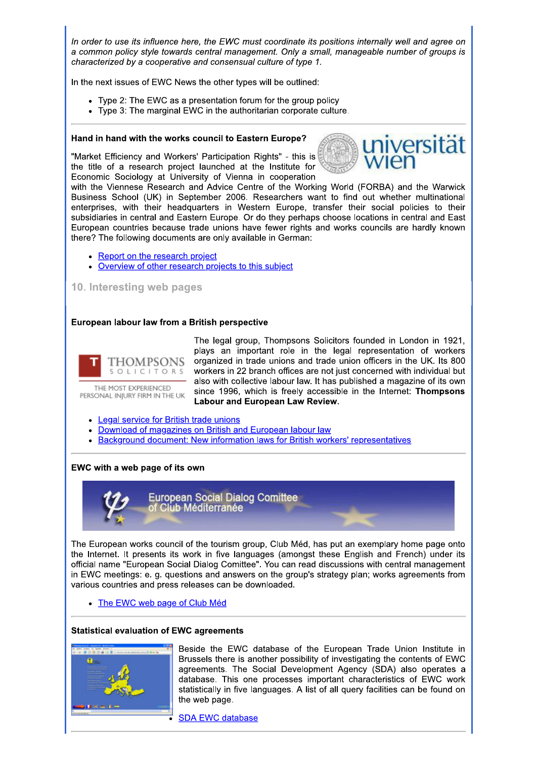In order to use its influence here, the EWC must coordinate its positions internally well and agree on a common policy style towards central management. Only a small, manageable number of groups is characterized by a cooperative and consensual culture of type 1.

In the next issues of EWC News the other types will be outlined:

- Type 2: The EWC as a presentation forum for the group policy
- Type 3: The marginal EWC in the authoritarian corporate culture.

#### Hand in hand with the works council to Eastern Europe?

"Market Efficiency and Workers' Participation Rights" - this is the title of a research project launched at the Institute for Economic Sociology at University of Vienna in cooperation



with the Viennese Research and Advice Centre of the Working World (FORBA) and the Warwick Business School (UK) in September 2006. Researchers want to find out whether multinational enterprises, with their headquarters in Western Europe, transfer their social policies to their subsidiaries in central and Eastern Europe. Or do they perhaps choose locations in central and East European countries because trade unions have fewer rights and works councils are hardly known there? The following documents are only available in German:

- Report on the research project
- Overview of other research projects to this subject

## 10. Interesting web pages

#### European labour law from a British perspective



THE MOST EXPERIENCED PERSONAL INJURY FIRM IN THE UK The legal group, Thompsons Solicitors founded in London in 1921, plays an important role in the legal representation of workers organized in trade unions and trade union officers in the UK. Its 800 workers in 22 branch offices are not just concerned with individual but also with collective labour law. It has published a magazine of its own since 1996, which is freely accessible in the Internet: Thompsons **Labour and European Law Review.** 

- Legal service for British trade unions
- Download of magazines on British and European labour law
- Background document: New information laws for British workers' representatives

#### EWC with a web page of its own



The European works council of the tourism group. Club Méd, has put an exemplary home page onto the Internet. It presents its work in five languages (amongst these English and French) under its official name "European Social Dialog Comittee". You can read discussions with central management in EWC meetings: e. g. questions and answers on the group's strategy plan; works agreements from various countries and press releases can be downloaded.

• The EWC web page of Club Méd

#### **Statistical evaluation of EWC agreements**



Beside the EWC database of the European Trade Union Institute in Brussels there is another possibility of investigating the contents of EWC agreements. The Social Development Agency (SDA) also operates a database. This one processes important characteristics of EWC work statistically in five languages. A list of all query facilities can be found on the web page.

**SDA EWC database**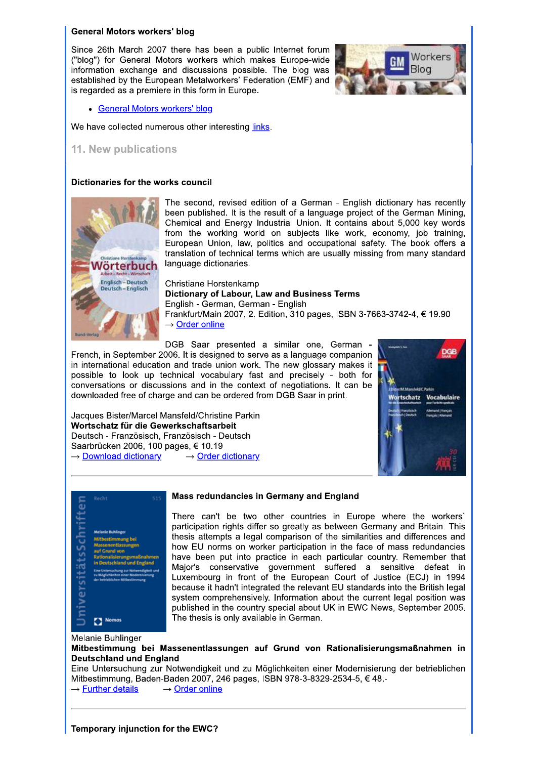#### **General Motors workers' blog**

Since 26th March 2007 there has been a public Internet forum ("blog") for General Motors workers which makes Europe-wide information exchange and discussions possible. The blog was established by the European Metalworkers' Federation (EMF) and is regarded as a premiere in this form in Europe.



## • General Motors workers' blog

We have collected numerous other interesting links.

## 11. New publications

#### Dictionaries for the works council



The second, revised edition of a German - English dictionary has recently been published. It is the result of a language project of the German Mining, Chemical and Energy Industrial Union. It contains about 5,000 key words from the working world on subjects like work, economy, job training, European Union, law, politics and occupational safety. The book offers a translation of technical terms which are usually missing from many standard language dictionaries.

Christiane Horstenkamp **Dictionary of Labour, Law and Business Terms** English - German, German - English Frankfurt/Main 2007, 2. Edition, 310 pages, ISBN 3-7663-3742-4, € 19.90  $\rightarrow$  Order online

DGB Saar presented a similar one, German -

French, in September 2006. It is designed to serve as a language companion in international education and trade union work. The new glossary makes it possible to look up technical vocabulary fast and precisely - both for conversations or discussions and in the context of negotiations. It can be downloaded free of charge and can be ordered from DGB Saar in print.

Jacques Bister/Marcel Mansfeld/Christine Parkin Wortschatz für die Gewerkschaftsarbeit Deutsch - Französisch, Französisch - Deutsch Saarbrücken 2006, 100 pages, € 10.19 → Download dictionary  $\rightarrow$  Order dictionary





#### Mass redundancies in Germany and England

There can't be two other countries in Europe where the workers' participation rights differ so greatly as between Germany and Britain. This thesis attempts a legal comparison of the similarities and differences and how EU norms on worker participation in the face of mass redundancies have been put into practice in each particular country. Remember that Major's conservative government suffered a sensitive defeat in Luxembourg in front of the European Court of Justice (ECJ) in 1994 because it hadn't integrated the relevant EU standards into the British legal system comprehensively. Information about the current legal position was published in the country special about UK in EWC News, September 2005. The thesis is only available in German.

Melanie Buhlinger

Mitbestimmung bei Massenentlassungen auf Grund von Rationalisierungsmaßnahmen in **Deutschland und England** 

Eine Untersuchung zur Notwendigkeit und zu Möglichkeiten einer Modernisierung der betrieblichen Mitbestimmung, Baden-Baden 2007, 246 pages, ISBN 978-3-8329-2534-5, €48.- $\rightarrow$  Further details  $\rightarrow$  Order online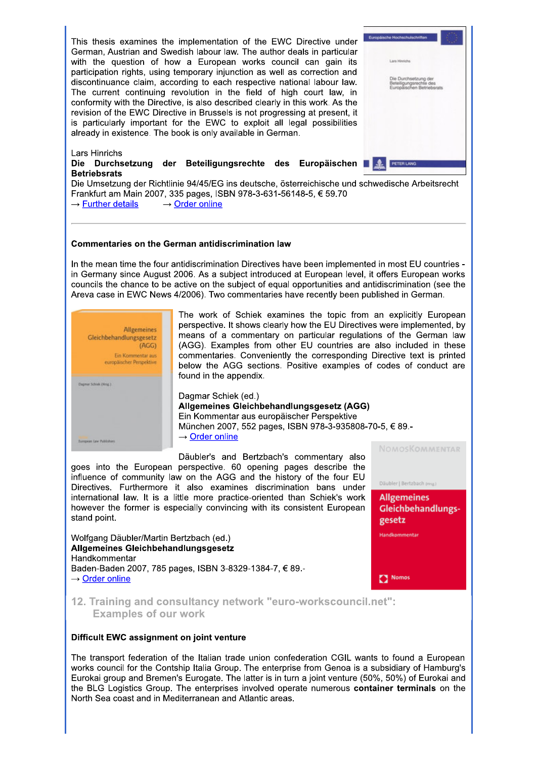

#### Commentaries on the German antidiscrimination law

In the mean time the four antidiscrimination Directives have been implemented in most EU countries in Germany since August 2006. As a subject introduced at European level, it offers European works councils the chance to be active on the subject of equal opportunities and antidiscrimination (see the Areva case in EWC News 4/2006). Two commentaries have recently been published in German.



The work of Schiek examines the topic from an explicitly European perspective. It shows clearly how the EU Directives were implemented, by means of a commentary on particular regulations of the German law (AGG). Examples from other EU countries are also included in these commentaries. Conveniently the corresponding Directive text is printed below the AGG sections. Positive examples of codes of conduct are found in the appendix.

Dagmar Schiek (ed.) Allgemeines Gleichbehandlungsgesetz (AGG) Ein Kommentar aus europäischer Perspektive München 2007, 552 pages, ISBN 978-3-935808-70-5, € 89.- $\rightarrow$  Order online

Däubler's and Bertzbach's commentary also goes into the European perspective. 60 opening pages describe the influence of community law on the AGG and the history of the four EU Directives. Furthermore it also examines discrimination bans under international law. It is a little more practice-oriented than Schiek's work however the former is especially convincing with its consistent European stand point.

Wolfgang Däubler/Martin Bertzbach (ed.) Allgemeines Gleichbehandlungsgesetz Handkommentar Baden-Baden 2007, 785 pages, ISBN 3-8329-1384-7, € 89,- $\rightarrow$  Order online

NOMOSKOMMENTAR

Däubler | Bertzbach (mg)



Nomos

12. Training and consultancy network "euro-workscouncil.net": **Examples of our work** 

#### Difficult EWC assignment on joint venture

The transport federation of the Italian trade union confederation CGIL wants to found a European works council for the Contship Italia Group. The enterprise from Genoa is a subsidiary of Hamburg's Eurokai group and Bremen's Eurogate. The latter is in turn a joint venture (50%, 50%) of Eurokai and the BLG Logistics Group. The enterprises involved operate numerous container terminals on the North Sea coast and in Mediterranean and Atlantic areas.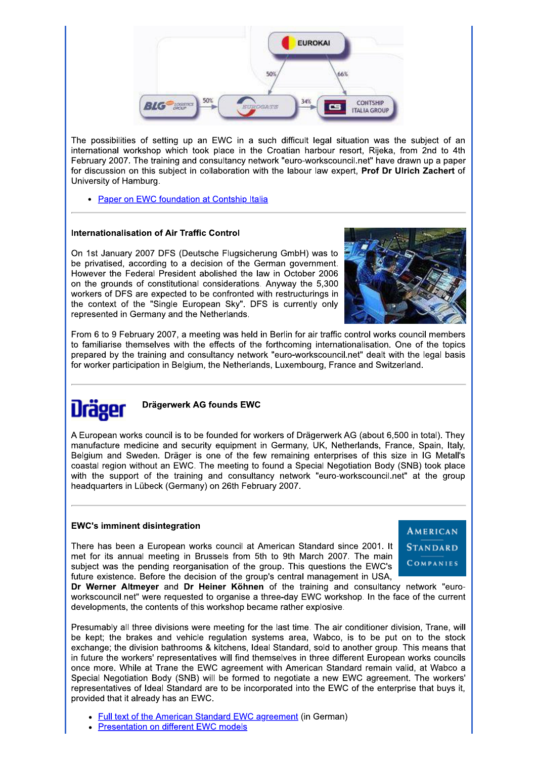

The possibilities of setting up an EWC in a such difficult legal situation was the subject of an international workshop which took place in the Croatian harbour resort, Rijeka, from 2nd to 4th February 2007. The training and consultancy network "euro-workscouncil.net" have drawn up a paper for discussion on this subject in collaboration with the labour law expert, Prof Dr Ulrich Zachert of University of Hamburg.

• Paper on EWC foundation at Contship Italia

## **Internationalisation of Air Traffic Control**

On 1st January 2007 DFS (Deutsche Flugsicherung GmbH) was to be privatised, according to a decision of the German government. However the Federal President abolished the law in October 2006 on the grounds of constitutional considerations. Anyway the 5.300 workers of DFS are expected to be confronted with restructurings in the context of the "Single European Sky". DFS is currently only represented in Germany and the Netherlands.



From 6 to 9 February 2007, a meeting was held in Berlin for air traffic control works council members to familiarise themselves with the effects of the forthcoming internationalisation. One of the topics prepared by the training and consultancy network "euro-workscouncil.net" dealt with the legal basis for worker participation in Belgium, the Netherlands, Luxembourg, France and Switzerland.



## Drägerwerk AG founds EWC

A European works council is to be founded for workers of Drägerwerk AG (about 6,500 in total). They manufacture medicine and security equipment in Germany, UK, Netherlands, France, Spain, Italy, Belgium and Sweden. Dräger is one of the few remaining enterprises of this size in IG Metall's coastal region without an EWC. The meeting to found a Special Negotiation Body (SNB) took place with the support of the training and consultancy network "euro-workscouncil.net" at the group headquarters in Lübeck (Germany) on 26th February 2007.

## **EWC's imminent disintegration**

There has been a European works council at American Standard since 2001. It met for its annual meeting in Brussels from 5th to 9th March 2007. The main subject was the pending reorganisation of the group. This questions the EWC's future existence. Before the decision of the group's central management in USA,



Dr Werner Altmeyer and Dr Heiner Köhnen of the training and consultancy network "euroworkscouncil.net" were requested to organise a three-day EWC workshop. In the face of the current developments, the contents of this workshop became rather explosive.

Presumably all three divisions were meeting for the last time. The air conditioner division. Trane, will be kept; the brakes and vehicle regulation systems area, Wabco, is to be put on to the stock exchange: the division bathrooms & kitchens, Ideal Standard, sold to another group. This means that in future the workers' representatives will find themselves in three different European works councils once more. While at Trane the EWC agreement with American Standard remain valid, at Wabco a Special Negotiation Body (SNB) will be formed to negotiate a new EWC agreement. The workers' representatives of Ideal Standard are to be incorporated into the EWC of the enterprise that buys it, provided that it already has an EWC.

- Full text of the American Standard EWC agreement (in German)
- **Presentation on different EWC models**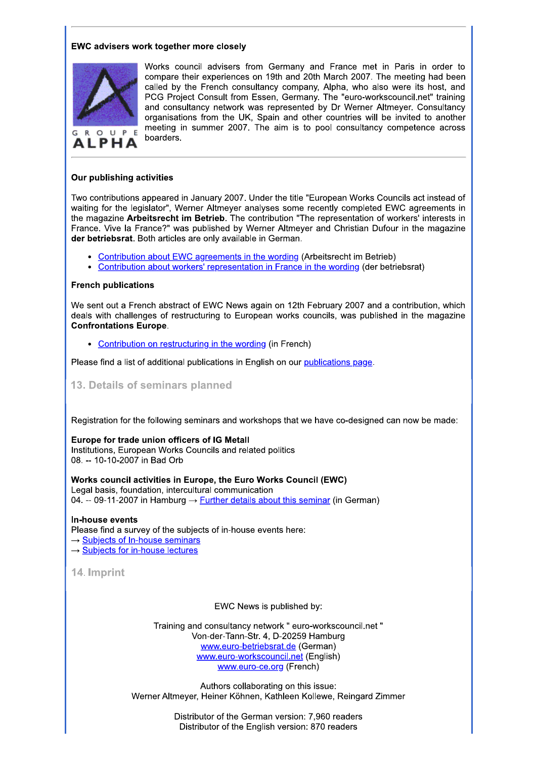## **EWC advisers work together more closely**



**ALPHA** 

Works council advisers from Germany and France met in Paris in order to compare their experiences on 19th and 20th March 2007. The meeting had been called by the French consultancy company, Alpha, who also were its host, and PCG Project Consult from Essen, Germany. The "euro-workscouncil.net" training and consultancy network was represented by Dr Werner Altmeyer. Consultancy organisations from the UK, Spain and other countries will be invited to another meeting in summer 2007. The aim is to pool consultancy competence across boarders.

## Our publishing activities

Two contributions appeared in January 2007. Under the title "European Works Councils act instead of waiting for the legislator", Werner Altmeyer analyses some recently completed EWC agreements in the magazine Arbeitsrecht im Betrieb. The contribution "The representation of workers' interests in France. Vive la France?" was published by Werner Altmeyer and Christian Dufour in the magazine der betriebsrat. Both articles are only available in German.

- Contribution about EWC agreements in the wording (Arbeitsrecht im Betrieb)
- Contribution about workers' representation in France in the wording (der betriebsrat)

## **French publications**

We sent out a French abstract of EWC News again on 12th February 2007 and a contribution, which deals with challenges of restructuring to European works councils, was published in the magazine **Confrontations Europe.** 

• Contribution on restructuring in the wording (in French)

Please find a list of additional publications in English on our publications page.

13. Details of seminars planned

Registration for the following seminars and workshops that we have co-designed can now be made:

#### Europe for trade union officers of IG Metall

Institutions, European Works Councils and related politics 08. -- 10-10-2007 in Bad Orb

Works council activities in Europe, the Euro Works Council (EWC) Legal basis, foundation, intercultural communication 04. -- 09-11-2007 in Hamburg  $\rightarrow$  Further details about this seminar (in German)

In-house events

Please find a survey of the subjects of in-house events here:

- → Subjects of In-house seminars
- $\rightarrow$  Subjects for in-house lectures

14. Imprint

EWC News is published by:

Training and consultancy network " euro-workscouncil.net " Von-der-Tann-Str. 4, D-20259 Hamburg www.euro-betriebsrat.de (German) www.euro-workscouncil.net (English) www.euro-ce.org (French)

Authors collaborating on this issue: Werner Altmeyer, Heiner Köhnen, Kathleen Kollewe, Reingard Zimmer

> Distributor of the German version: 7.960 readers Distributor of the English version: 870 readers